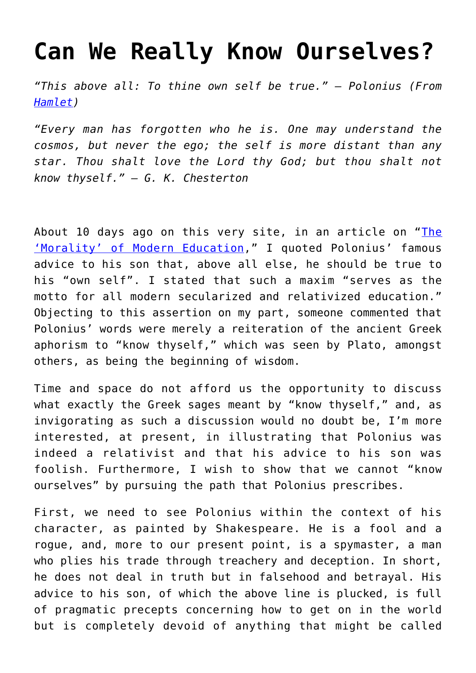## **[Can We Really Know Ourselves?](https://intellectualtakeout.org/2016/05/can-we-really-know-ourselves/)**

*"This above all: To thine own self be true." – Polonius (From [Hamlet](http://amzn.to/1Wd42DQ))*

*"Every man has forgotten who he is. One may understand the cosmos, but never the ego; the self is more distant than any star. Thou shalt love the Lord thy God; but thou shalt not know thyself." – G. K. Chesterton*

About 10 days ago on this very site, in an article on "[The](https://www.intellectualtakeout.org/blog/morality-modern-education-relativism) ['Morality' of Modern Education,](https://www.intellectualtakeout.org/blog/morality-modern-education-relativism)" I quoted Polonius' famous advice to his son that, above all else, he should be true to his "own self". I stated that such a maxim "serves as the motto for all modern secularized and relativized education." Objecting to this assertion on my part, someone commented that Polonius' words were merely a reiteration of the ancient Greek aphorism to "know thyself," which was seen by Plato, amongst others, as being the beginning of wisdom.

Time and space do not afford us the opportunity to discuss what exactly the Greek sages meant by "know thyself," and, as invigorating as such a discussion would no doubt be, I'm more interested, at present, in illustrating that Polonius was indeed a relativist and that his advice to his son was foolish. Furthermore, I wish to show that we cannot "know ourselves" by pursuing the path that Polonius prescribes.

First, we need to see Polonius within the context of his character, as painted by Shakespeare. He is a fool and a rogue, and, more to our present point, is a spymaster, a man who plies his trade through treachery and deception. In short, he does not deal in truth but in falsehood and betrayal. His advice to his son, of which the above line is plucked, is full of pragmatic precepts concerning how to get on in the world but is completely devoid of anything that might be called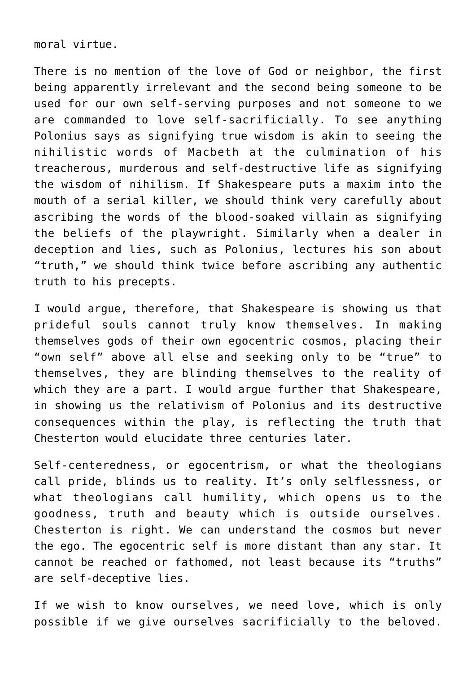moral virtue.

There is no mention of the love of God or neighbor, the first being apparently irrelevant and the second being someone to be used for our own self-serving purposes and not someone to we are commanded to love self-sacrificially. To see anything Polonius says as signifying true wisdom is akin to seeing the nihilistic words of Macbeth at the culmination of his treacherous, murderous and self-destructive life as signifying the wisdom of nihilism. If Shakespeare puts a maxim into the mouth of a serial killer, we should think very carefully about ascribing the words of the blood-soaked villain as signifying the beliefs of the playwright. Similarly when a dealer in deception and lies, such as Polonius, lectures his son about "truth," we should think twice before ascribing any authentic truth to his precepts.

I would argue, therefore, that Shakespeare is showing us that prideful souls cannot truly know themselves. In making themselves gods of their own egocentric cosmos, placing their "own self" above all else and seeking only to be "true" to themselves, they are blinding themselves to the reality of which they are a part. I would argue further that Shakespeare, in showing us the relativism of Polonius and its destructive consequences within the play, is reflecting the truth that Chesterton would elucidate three centuries later.

Self-centeredness, or egocentrism, or what the theologians call pride, blinds us to reality. It's only selflessness, or what theologians call humility, which opens us to the goodness, truth and beauty which is outside ourselves. Chesterton is right. We can understand the cosmos but never the ego. The egocentric self is more distant than any star. It cannot be reached or fathomed, not least because its "truths" are self-deceptive lies.

If we wish to know ourselves, we need love, which is only possible if we give ourselves sacrificially to the beloved.